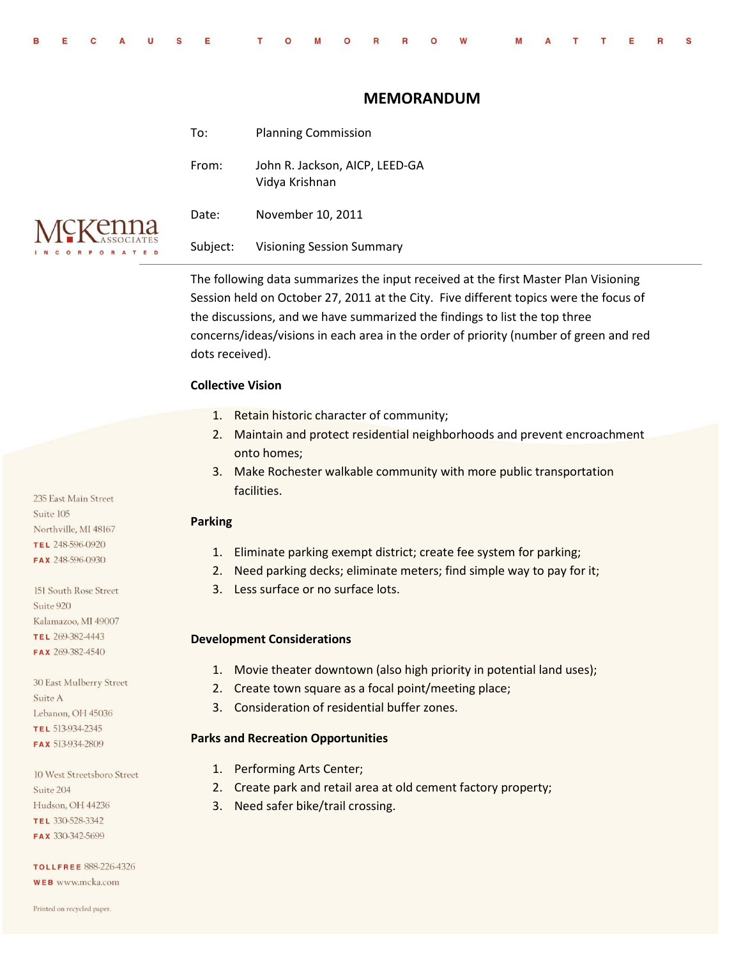| BECAUSE TOMORROW MATTERS |  |
|--------------------------|--|

# **MEMORANDUM**

| To:      | <b>Planning Commission</b>                       |
|----------|--------------------------------------------------|
| From:    | John R. Jackson, AICP, LEED-GA<br>Vidya Krishnan |
| Date:    | November 10, 2011                                |
| Subject: | Visioning Session Summary                        |

The following data summarizes the input received at the first Master Plan Visioning Session held on October 27, 2011 at the City. Five different topics were the focus of the discussions, and we have summarized the findings to list the top three concerns/ideas/visions in each area in the order of priority (number of green and red dots received).

#### **Collective Vision**

- 1. Retain historic character of community;
- 2. Maintain and protect residential neighborhoods and prevent encroachment onto homes;
- 3. Make Rochester walkable community with more public transportation facilities.

### **Parking**

- 1. Eliminate parking exempt district; create fee system for parking;
- 2. Need parking decks; eliminate meters; find simple way to pay for it;
- 3. Less surface or no surface lots.

#### **Development Considerations**

- 1. Movie theater downtown (also high priority in potential land uses);
- 2. Create town square as a focal point/meeting place;
- 3. Consideration of residential buffer zones.

#### **Parks and Recreation Opportunities**

- 1. Performing Arts Center;
- 2. Create park and retail area at old cement factory property;
- 3. Need safer bike/trail crossing.

235 East Main Street Suite 105 Northville, MI 48167 TEL 248-596-0920 FAX 248-596-0930

151 South Rose Street Suite 920 Kalamazoo, MI 49007 TEL 269-382-4443 FAX 269-382-4540

30 East Mulberry Street Suite A Lebanon, OH 45036 TEL 513-934-2345 FAX 513-934-2809

10 West Streetsboro Street Suite 204 Hudson, OH 44236 TEL 330-528-3342 FAX 330-342-5699

**TOLLFREE 888-226-4326** WEB www.mcka.com